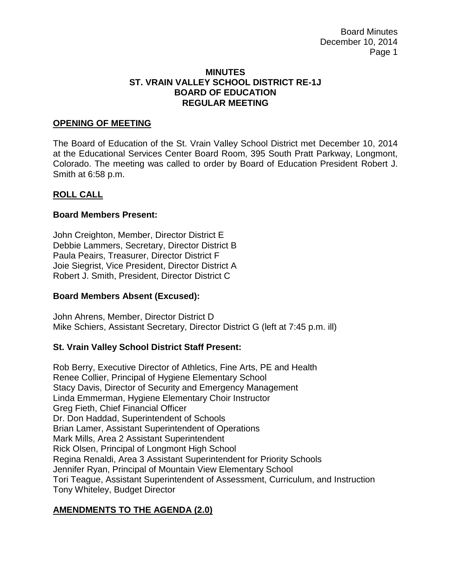Board Minutes December 10, 2014 Page 1

### **MINUTES ST. VRAIN VALLEY SCHOOL DISTRICT RE-1J BOARD OF EDUCATION REGULAR MEETING**

### **OPENING OF MEETING**

The Board of Education of the St. Vrain Valley School District met December 10, 2014 at the Educational Services Center Board Room, 395 South Pratt Parkway, Longmont, Colorado. The meeting was called to order by Board of Education President Robert J. Smith at 6:58 p.m.

### **ROLL CALL**

### **Board Members Present:**

John Creighton, Member, Director District E Debbie Lammers, Secretary, Director District B Paula Peairs, Treasurer, Director District F Joie Siegrist, Vice President, Director District A Robert J. Smith, President, Director District C

#### **Board Members Absent (Excused):**

John Ahrens, Member, Director District D Mike Schiers, Assistant Secretary, Director District G (left at 7:45 p.m. ill)

## **St. Vrain Valley School District Staff Present:**

Rob Berry, Executive Director of Athletics, Fine Arts, PE and Health Renee Collier, Principal of Hygiene Elementary School Stacy Davis, Director of Security and Emergency Management Linda Emmerman, Hygiene Elementary Choir Instructor Greg Fieth, Chief Financial Officer Dr. Don Haddad, Superintendent of Schools Brian Lamer, Assistant Superintendent of Operations Mark Mills, Area 2 Assistant Superintendent Rick Olsen, Principal of Longmont High School Regina Renaldi, Area 3 Assistant Superintendent for Priority Schools Jennifer Ryan, Principal of Mountain View Elementary School Tori Teague, Assistant Superintendent of Assessment, Curriculum, and Instruction Tony Whiteley, Budget Director

## **AMENDMENTS TO THE AGENDA (2.0)**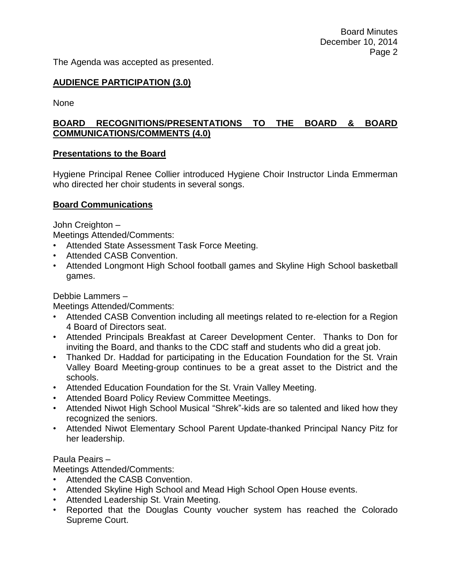The Agenda was accepted as presented.

# **AUDIENCE PARTICIPATION (3.0)**

None

# **BOARD RECOGNITIONS/PRESENTATIONS TO THE BOARD & BOARD COMMUNICATIONS/COMMENTS (4.0)**

### **Presentations to the Board**

Hygiene Principal Renee Collier introduced Hygiene Choir Instructor Linda Emmerman who directed her choir students in several songs.

### **Board Communications**

John Creighton –

Meetings Attended/Comments:

- Attended State Assessment Task Force Meeting.
- Attended CASB Convention.
- Attended Longmont High School football games and Skyline High School basketball games.

Debbie Lammers –

Meetings Attended/Comments:

- Attended CASB Convention including all meetings related to re-election for a Region 4 Board of Directors seat.
- Attended Principals Breakfast at Career Development Center. Thanks to Don for inviting the Board, and thanks to the CDC staff and students who did a great job.
- Thanked Dr. Haddad for participating in the Education Foundation for the St. Vrain Valley Board Meeting-group continues to be a great asset to the District and the schools.
- Attended Education Foundation for the St. Vrain Valley Meeting.
- Attended Board Policy Review Committee Meetings.
- Attended Niwot High School Musical "Shrek"-kids are so talented and liked how they recognized the seniors.
- Attended Niwot Elementary School Parent Update-thanked Principal Nancy Pitz for her leadership.

## Paula Peairs –

Meetings Attended/Comments:

- Attended the CASB Convention.
- Attended Skyline High School and Mead High School Open House events.
- Attended Leadership St. Vrain Meeting.
- Reported that the Douglas County voucher system has reached the Colorado Supreme Court.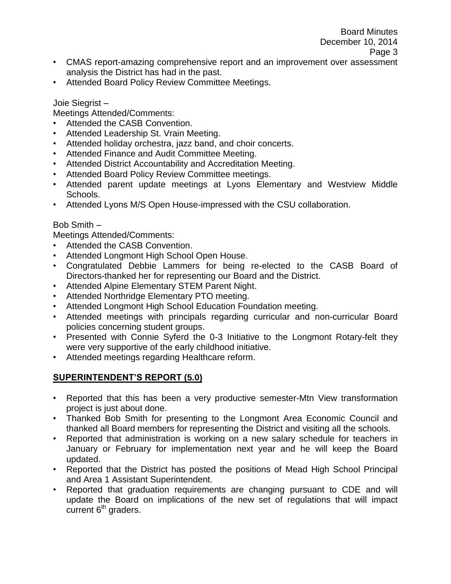- CMAS report-amazing comprehensive report and an improvement over assessment analysis the District has had in the past.
- Attended Board Policy Review Committee Meetings.

### Joie Siegrist –

Meetings Attended/Comments:

- Attended the CASB Convention.
- Attended Leadership St. Vrain Meeting.
- Attended holiday orchestra, jazz band, and choir concerts.
- Attended Finance and Audit Committee Meeting.
- Attended District Accountability and Accreditation Meeting.
- Attended Board Policy Review Committee meetings.
- Attended parent update meetings at Lyons Elementary and Westview Middle Schools.
- Attended Lyons M/S Open House-impressed with the CSU collaboration.

# Bob Smith –

Meetings Attended/Comments:

- Attended the CASB Convention.
- Attended Longmont High School Open House.
- Congratulated Debbie Lammers for being re-elected to the CASB Board of Directors-thanked her for representing our Board and the District.
- Attended Alpine Elementary STEM Parent Night.
- Attended Northridge Elementary PTO meeting.
- Attended Longmont High School Education Foundation meeting.
- Attended meetings with principals regarding curricular and non-curricular Board policies concerning student groups.
- Presented with Connie Syferd the 0-3 Initiative to the Longmont Rotary-felt they were very supportive of the early childhood initiative.
- Attended meetings regarding Healthcare reform.

# **SUPERINTENDENT'S REPORT (5.0)**

- Reported that this has been a very productive semester-Mtn View transformation project is just about done.
- Thanked Bob Smith for presenting to the Longmont Area Economic Council and thanked all Board members for representing the District and visiting all the schools.
- Reported that administration is working on a new salary schedule for teachers in January or February for implementation next year and he will keep the Board updated.
- Reported that the District has posted the positions of Mead High School Principal and Area 1 Assistant Superintendent.
- Reported that graduation requirements are changing pursuant to CDE and will update the Board on implications of the new set of regulations that will impact  $c$ urrent  $6<sup>th</sup>$  graders.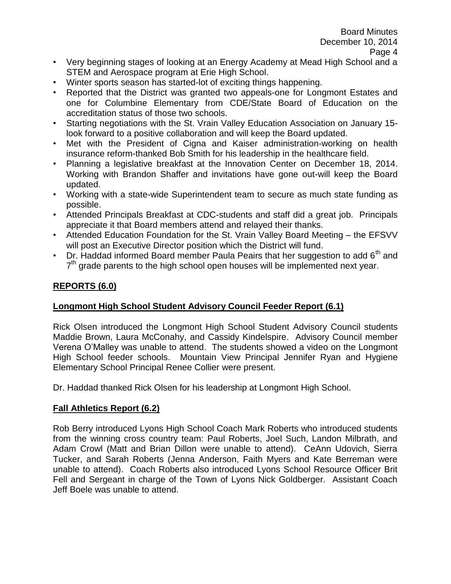- Very beginning stages of looking at an Energy Academy at Mead High School and a STEM and Aerospace program at Erie High School.
- Winter sports season has started-lot of exciting things happening.
- Reported that the District was granted two appeals-one for Longmont Estates and one for Columbine Elementary from CDE/State Board of Education on the accreditation status of those two schools.
- Starting negotiations with the St. Vrain Valley Education Association on January 15 look forward to a positive collaboration and will keep the Board updated.
- Met with the President of Cigna and Kaiser administration-working on health insurance reform-thanked Bob Smith for his leadership in the healthcare field.
- Planning a legislative breakfast at the Innovation Center on December 18, 2014. Working with Brandon Shaffer and invitations have gone out-will keep the Board updated.
- Working with a state-wide Superintendent team to secure as much state funding as possible.
- Attended Principals Breakfast at CDC-students and staff did a great job. Principals appreciate it that Board members attend and relayed their thanks.
- Attended Education Foundation for the St. Vrain Valley Board Meeting the EFSVV will post an Executive Director position which the District will fund.
- Dr. Haddad informed Board member Paula Peairs that her suggestion to add  $6<sup>th</sup>$  and 7<sup>th</sup> grade parents to the high school open houses will be implemented next year.

# **REPORTS (6.0)**

# **Longmont High School Student Advisory Council Feeder Report (6.1)**

Rick Olsen introduced the Longmont High School Student Advisory Council students Maddie Brown, Laura McConahy, and Cassidy Kindelspire. Advisory Council member Verena O'Malley was unable to attend. The students showed a video on the Longmont High School feeder schools. Mountain View Principal Jennifer Ryan and Hygiene Elementary School Principal Renee Collier were present.

Dr. Haddad thanked Rick Olsen for his leadership at Longmont High School.

## **Fall Athletics Report (6.2)**

Rob Berry introduced Lyons High School Coach Mark Roberts who introduced students from the winning cross country team: Paul Roberts, Joel Such, Landon Milbrath, and Adam Crowl (Matt and Brian Dillon were unable to attend). CeAnn Udovich, Sierra Tucker, and Sarah Roberts (Jenna Anderson, Faith Myers and Kate Berreman were unable to attend). Coach Roberts also introduced Lyons School Resource Officer Brit Fell and Sergeant in charge of the Town of Lyons Nick Goldberger. Assistant Coach Jeff Boele was unable to attend.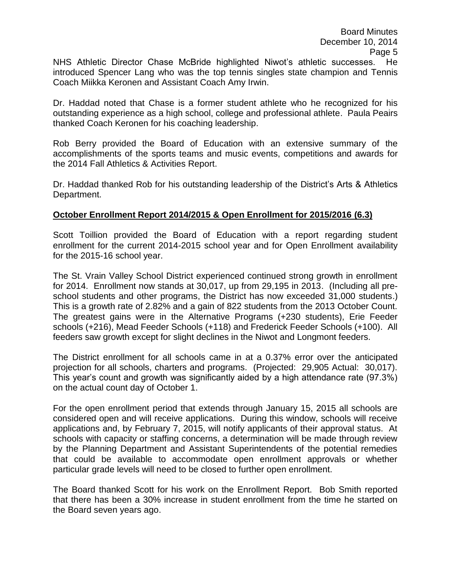NHS Athletic Director Chase McBride highlighted Niwot's athletic successes. He introduced Spencer Lang who was the top tennis singles state champion and Tennis Coach Miikka Keronen and Assistant Coach Amy Irwin.

Dr. Haddad noted that Chase is a former student athlete who he recognized for his outstanding experience as a high school, college and professional athlete. Paula Peairs thanked Coach Keronen for his coaching leadership.

Rob Berry provided the Board of Education with an extensive summary of the accomplishments of the sports teams and music events, competitions and awards for the 2014 Fall Athletics & Activities Report.

Dr. Haddad thanked Rob for his outstanding leadership of the District's Arts & Athletics Department.

# **October Enrollment Report 2014/2015 & Open Enrollment for 2015/2016 (6.3)**

Scott Toillion provided the Board of Education with a report regarding student enrollment for the current 2014-2015 school year and for Open Enrollment availability for the 2015-16 school year.

The St. Vrain Valley School District experienced continued strong growth in enrollment for 2014. Enrollment now stands at 30,017, up from 29,195 in 2013. (Including all preschool students and other programs, the District has now exceeded 31,000 students.) This is a growth rate of 2.82% and a gain of 822 students from the 2013 October Count. The greatest gains were in the Alternative Programs (+230 students), Erie Feeder schools (+216), Mead Feeder Schools (+118) and Frederick Feeder Schools (+100). All feeders saw growth except for slight declines in the Niwot and Longmont feeders.

The District enrollment for all schools came in at a 0.37% error over the anticipated projection for all schools, charters and programs. (Projected: 29,905 Actual: 30,017). This year's count and growth was significantly aided by a high attendance rate (97.3%) on the actual count day of October 1.

For the open enrollment period that extends through January 15, 2015 all schools are considered open and will receive applications. During this window, schools will receive applications and, by February 7, 2015, will notify applicants of their approval status. At schools with capacity or staffing concerns, a determination will be made through review by the Planning Department and Assistant Superintendents of the potential remedies that could be available to accommodate open enrollment approvals or whether particular grade levels will need to be closed to further open enrollment.

The Board thanked Scott for his work on the Enrollment Report. Bob Smith reported that there has been a 30% increase in student enrollment from the time he started on the Board seven years ago.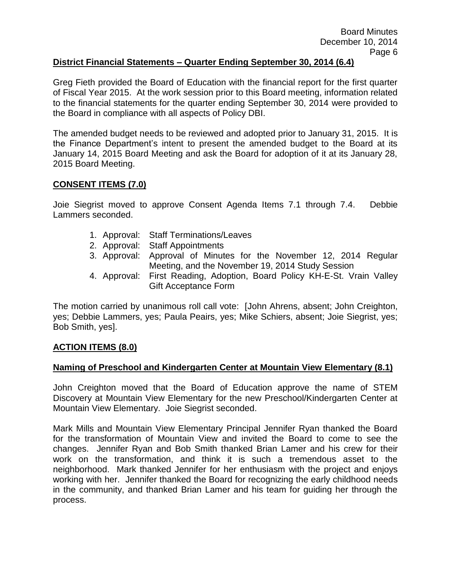# **District Financial Statements – Quarter Ending September 30, 2014 (6.4)**

Greg Fieth provided the Board of Education with the financial report for the first quarter of Fiscal Year 2015. At the work session prior to this Board meeting, information related to the financial statements for the quarter ending September 30, 2014 were provided to the Board in compliance with all aspects of Policy DBI.

The amended budget needs to be reviewed and adopted prior to January 31, 2015. It is the Finance Department's intent to present the amended budget to the Board at its January 14, 2015 Board Meeting and ask the Board for adoption of it at its January 28, 2015 Board Meeting.

### **CONSENT ITEMS (7.0)**

Joie Siegrist moved to approve Consent Agenda Items 7.1 through 7.4. Debbie Lammers seconded.

- 1. Approval: Staff Terminations/Leaves
- 2. Approval: Staff Appointments
- 3. Approval: Approval of Minutes for the November 12, 2014 Regular Meeting, and the November 19, 2014 Study Session
- 4. Approval: First Reading, Adoption, Board Policy KH-E-St. Vrain Valley Gift Acceptance Form

The motion carried by unanimous roll call vote: [John Ahrens, absent; John Creighton, yes; Debbie Lammers, yes; Paula Peairs, yes; Mike Schiers, absent; Joie Siegrist, yes; Bob Smith, yes].

## **ACTION ITEMS (8.0)**

## **Naming of Preschool and Kindergarten Center at Mountain View Elementary (8.1)**

John Creighton moved that the Board of Education approve the name of STEM Discovery at Mountain View Elementary for the new Preschool/Kindergarten Center at Mountain View Elementary. Joie Siegrist seconded.

Mark Mills and Mountain View Elementary Principal Jennifer Ryan thanked the Board for the transformation of Mountain View and invited the Board to come to see the changes. Jennifer Ryan and Bob Smith thanked Brian Lamer and his crew for their work on the transformation, and think it is such a tremendous asset to the neighborhood. Mark thanked Jennifer for her enthusiasm with the project and enjoys working with her. Jennifer thanked the Board for recognizing the early childhood needs in the community, and thanked Brian Lamer and his team for guiding her through the process.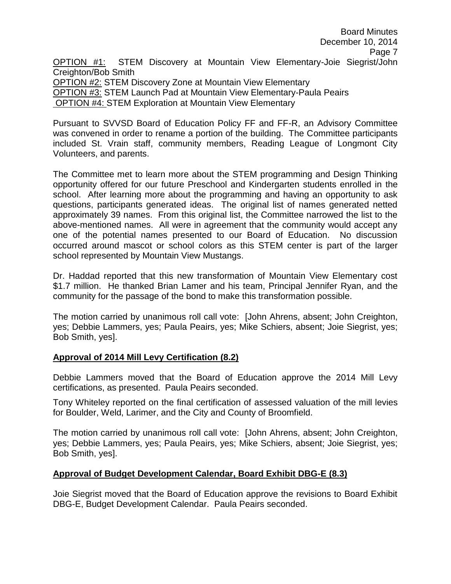Board Minutes December 10, 2014 Page 7 OPTION #1: STEM Discovery at Mountain View Elementary-Joie Siegrist/John Creighton/Bob Smith OPTION #2: STEM Discovery Zone at Mountain View Elementary OPTION #3: STEM Launch Pad at Mountain View Elementary-Paula Peairs OPTION #4: STEM Exploration at Mountain View Elementary

Pursuant to SVVSD Board of Education Policy FF and FF-R, an Advisory Committee was convened in order to rename a portion of the building. The Committee participants included St. Vrain staff, community members, Reading League of Longmont City Volunteers, and parents.

The Committee met to learn more about the STEM programming and Design Thinking opportunity offered for our future Preschool and Kindergarten students enrolled in the school. After learning more about the programming and having an opportunity to ask questions, participants generated ideas. The original list of names generated netted approximately 39 names. From this original list, the Committee narrowed the list to the above-mentioned names. All were in agreement that the community would accept any one of the potential names presented to our Board of Education. No discussion occurred around mascot or school colors as this STEM center is part of the larger school represented by Mountain View Mustangs.

Dr. Haddad reported that this new transformation of Mountain View Elementary cost \$1.7 million. He thanked Brian Lamer and his team, Principal Jennifer Ryan, and the community for the passage of the bond to make this transformation possible.

The motion carried by unanimous roll call vote: [John Ahrens, absent; John Creighton, yes; Debbie Lammers, yes; Paula Peairs, yes; Mike Schiers, absent; Joie Siegrist, yes; Bob Smith, yes].

## **Approval of 2014 Mill Levy Certification (8.2)**

Debbie Lammers moved that the Board of Education approve the 2014 Mill Levy certifications, as presented. Paula Peairs seconded.

Tony Whiteley reported on the final certification of assessed valuation of the mill levies for Boulder, Weld, Larimer, and the City and County of Broomfield.

The motion carried by unanimous roll call vote: [John Ahrens, absent; John Creighton, yes; Debbie Lammers, yes; Paula Peairs, yes; Mike Schiers, absent; Joie Siegrist, yes; Bob Smith, yes].

# **Approval of Budget Development Calendar, Board Exhibit DBG-E (8.3)**

Joie Siegrist moved that the Board of Education approve the revisions to Board Exhibit DBG-E, Budget Development Calendar. Paula Peairs seconded.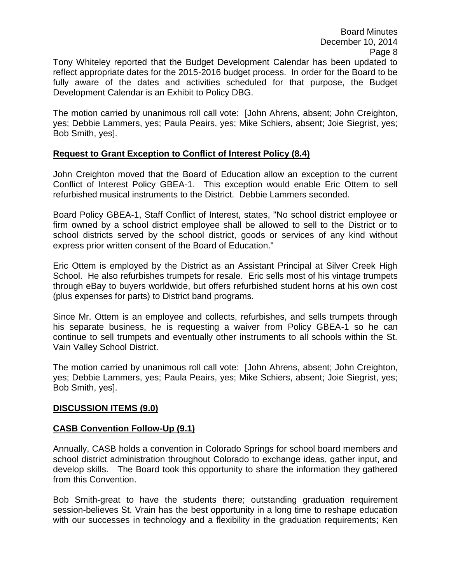Tony Whiteley reported that the Budget Development Calendar has been updated to reflect appropriate dates for the 2015-2016 budget process. In order for the Board to be fully aware of the dates and activities scheduled for that purpose, the Budget Development Calendar is an Exhibit to Policy DBG.

The motion carried by unanimous roll call vote: [John Ahrens, absent; John Creighton, yes; Debbie Lammers, yes; Paula Peairs, yes; Mike Schiers, absent; Joie Siegrist, yes; Bob Smith, yes].

## **Request to Grant Exception to Conflict of Interest Policy (8.4)**

John Creighton moved that the Board of Education allow an exception to the current Conflict of Interest Policy GBEA-1. This exception would enable Eric Ottem to sell refurbished musical instruments to the District. Debbie Lammers seconded.

Board Policy GBEA-1, Staff Conflict of Interest, states, "No school district employee or firm owned by a school district employee shall be allowed to sell to the District or to school districts served by the school district, goods or services of any kind without express prior written consent of the Board of Education."

Eric Ottem is employed by the District as an Assistant Principal at Silver Creek High School. He also refurbishes trumpets for resale. Eric sells most of his vintage trumpets through eBay to buyers worldwide, but offers refurbished student horns at his own cost (plus expenses for parts) to District band programs.

Since Mr. Ottem is an employee and collects, refurbishes, and sells trumpets through his separate business, he is requesting a waiver from Policy GBEA-1 so he can continue to sell trumpets and eventually other instruments to all schools within the St. Vain Valley School District.

The motion carried by unanimous roll call vote: [John Ahrens, absent; John Creighton, yes; Debbie Lammers, yes; Paula Peairs, yes; Mike Schiers, absent; Joie Siegrist, yes; Bob Smith, yes].

#### **DISCUSSION ITEMS (9.0)**

## **CASB Convention Follow-Up (9.1)**

Annually, CASB holds a convention in Colorado Springs for school board members and school district administration throughout Colorado to exchange ideas, gather input, and develop skills. The Board took this opportunity to share the information they gathered from this Convention.

Bob Smith-great to have the students there; outstanding graduation requirement session-believes St. Vrain has the best opportunity in a long time to reshape education with our successes in technology and a flexibility in the graduation requirements; Ken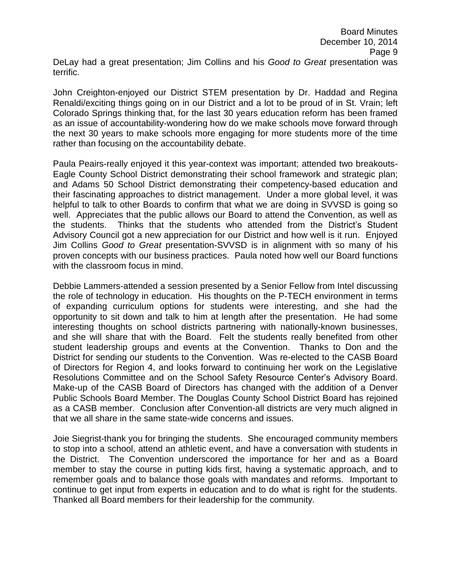John Creighton-enjoyed our District STEM presentation by Dr. Haddad and Regina Renaldi/exciting things going on in our District and a lot to be proud of in St. Vrain; left Colorado Springs thinking that, for the last 30 years education reform has been framed as an issue of accountability-wondering how do we make schools move forward through the next 30 years to make schools more engaging for more students more of the time rather than focusing on the accountability debate.

Paula Peairs-really enjoyed it this year-context was important; attended two breakouts-Eagle County School District demonstrating their school framework and strategic plan; and Adams 50 School District demonstrating their competency-based education and their fascinating approaches to district management. Under a more global level, it was helpful to talk to other Boards to confirm that what we are doing in SVVSD is going so well. Appreciates that the public allows our Board to attend the Convention, as well as the students. Thinks that the students who attended from the District's Student Advisory Council got a new appreciation for our District and how well is it run. Enjoyed Jim Collins *Good to Great* presentation-SVVSD is in alignment with so many of his proven concepts with our business practices. Paula noted how well our Board functions with the classroom focus in mind.

Debbie Lammers-attended a session presented by a Senior Fellow from Intel discussing the role of technology in education. His thoughts on the P-TECH environment in terms of expanding curriculum options for students were interesting, and she had the opportunity to sit down and talk to him at length after the presentation. He had some interesting thoughts on school districts partnering with nationally-known businesses, and she will share that with the Board. Felt the students really benefited from other student leadership groups and events at the Convention. Thanks to Don and the District for sending our students to the Convention. Was re-elected to the CASB Board of Directors for Region 4, and looks forward to continuing her work on the Legislative Resolutions Committee and on the School Safety Resource Center's Advisory Board. Make-up of the CASB Board of Directors has changed with the addition of a Denver Public Schools Board Member. The Douglas County School District Board has rejoined as a CASB member. Conclusion after Convention-all districts are very much aligned in that we all share in the same state-wide concerns and issues.

Joie Siegrist-thank you for bringing the students. She encouraged community members to stop into a school, attend an athletic event, and have a conversation with students in the District. The Convention underscored the importance for her and as a Board member to stay the course in putting kids first, having a systematic approach, and to remember goals and to balance those goals with mandates and reforms. Important to continue to get input from experts in education and to do what is right for the students. Thanked all Board members for their leadership for the community.